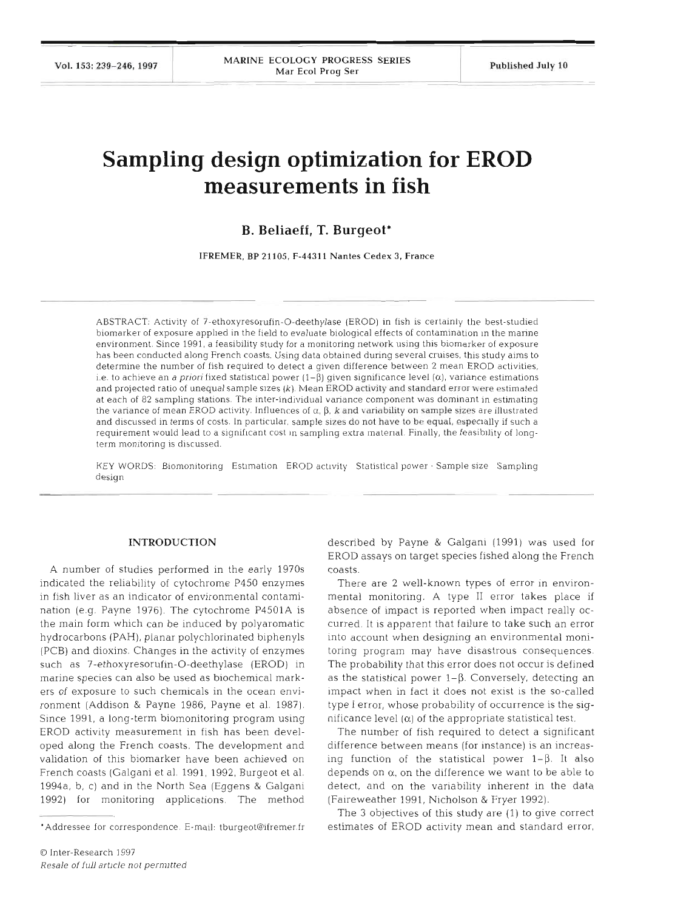# **Sampling design optimization for EROD measurements in fish**

## **B. Beliaeff, T. Burgeot\***

IFREMER, BP 21 105, **F-4431 1** Nantes Cedex **3,** France

ABSTRACT. Aclvlty of **7-ethoxyresorufin-0-deethylase** (EROD) In fish is certainly the best-studied biomarker of exposure applied in the field to evaluate biological effects of contamination in the marine environment. Since 1991, a feasibility study for a monitoring network using this biomarker of exposure has been conducted along French coasts. Using data obtained during several cruises, this study aims to determine the number of fish required to detect a given difference between 2 mean EROD activities, i.e. to achieve an *a priori* fixed statistical power  $(1-\beta)$  given significance level  $(\alpha)$ , variance estimations and projected ratlo of unequal sample slzes *(k)* Mean **EROD activltyaad** standard **srsr were** estimated at each of 82 sampling stations. The inter-individual variance component was dominant in estimating the variance of mean EROD activity. Influences of  $\alpha$ ,  $\beta$ ,  $k$  and variability on sample sizes are illustrated and discussed In terms of costs In particular, sample sizes **do** *nd* **have** *to be equal,* especially if such a requirement would lead to a significant cost in sampling extra material Finally, the feasibility of longterm monitoring is discussed.

KEY WORDS: Biomonitoring Estimation EROD activity Statistical power Sample size Sampling design

#### INTRODUCTI

A number of studies performed in the early 1970s indicated the reliability of cytochrome P450 enzymes in fish liver as an indicator of environmental contamination (e.g. Payne 1976). The cytochrome P4501A is the main form which can be induced by polyaromatic hydrocarbons (PAH), planar polychlorinated biphenyls (PCB) and dioxins. Changes in the activity of enzymes such as 7-ethoxyresorufin-0-deethylase (EROD) in marine species can also be used as biochemical markers of exposure to such chemicals in the ocean environment (Addison & Payne 1986, Payne et al. 1987). Since 1991, a long-term biomonitoring program using EROD activity measurement in fish has been developed along the French coasts. The development and validation of this biomarker have been achieved French coasts (Galgani et al. 1991, 1992, Burgeot et al. 1994a, b, c) and in the North Sea (Eggens & Galgani 1992) for monitoring applications. The method

described by Payne & Galgani (1991) was used for EROD assays on target species fished along the French coasts.

There are 2 well-known types of error in environmental monitoring. **A** type I1 error takes place if absence of impact is reported when impact really occurred. It is apparent that failure to take such an error into account when designing an environmental monitoring program may have disastrous consequences. The probability that this error does not occur is defined as the statistical power  $1-\beta$ . Conversely, detecting an impact when in fact it does not exist is the so-called type I error, whose probability of occurrence is the significance level  $(\alpha)$  of the appropriate statistical test.

The number of fish required to detect a significant difference between means (for instance) is an increasing function of the statistical power  $1-\beta$ . It also depends on  $\alpha$ , on the difference we want to be able to detect, and on the variability inherent in the data (Faireweather 1991, Nicholson & Fryer 1992).

The **3** objectives of this study are (1) to give correct estimates of EROD activity mean and standard error,

<sup>&#</sup>x27;Addressee for correspondence. E-mail: tburgeot@ifremer fr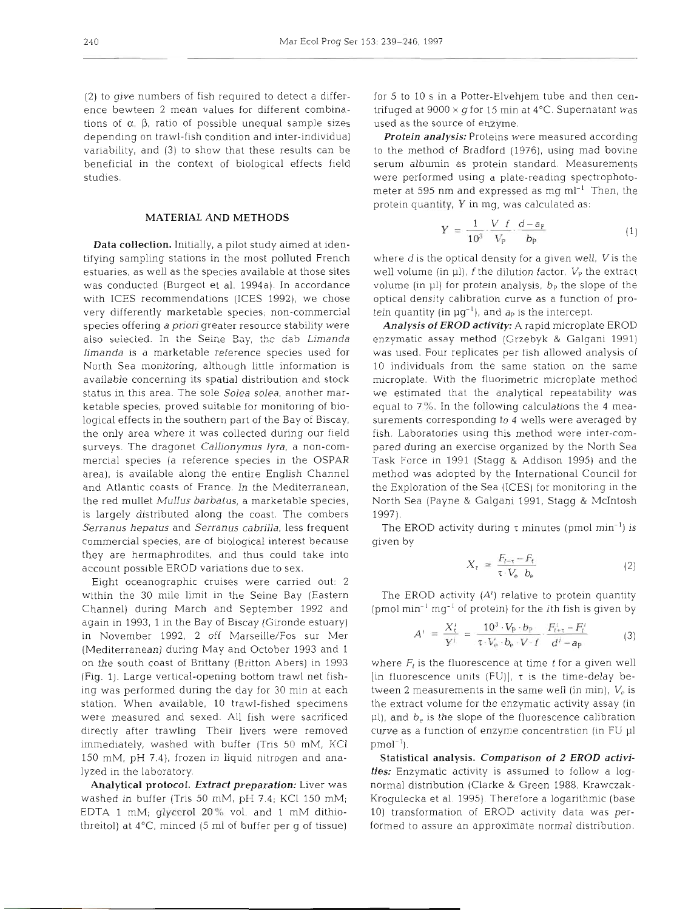(2) to give numbers of fish required to detect a difference bewteen 2 mean values for different combinations of  $\alpha$ ,  $\beta$ , ratio of possible unequal sample sizes depending on trawl-fish condition and inter-individual variability, and (3) to show that these results can be beneficial in the context of biological effects field studies.

## MATERIAL AND METHODS

Data collection. Initially, a pilot study aimed at identifying sampling stations in the most polluted French estuaries, as well as the species available at those sites was conducted (Burgeot et al. 1994a). In accordance with ICES recommendations (ICES 1992), we chose very differently marketable species; non-commercial species offering *a priori* greater resource stability were also selected. In the Seine Bay, the dab *Limanda limanda* is a marketable reference species used for North Sea monitoring, although little information is available concerning its spatial distribution and stock status in this area. The sole Solea solea, another marketable species, proved suitable for monitoring of biological effects in the southern part of the Bay of Biscay, the only area where it was collected during our field surveys. The dragonet *Callionymus lyra,* a non-commercial species (a reference species in the OSPAR area), is available along the entire English Channel and Atlantic coasts of France. In the Mediterranean, the red mullet *Mullus barbatus,* a marketable species, is largely distributed along the coast. The combers *Serranus hepatus* and *Serranus cabrilla,* less frequent commercial species, are of biological interest because they are hermaphrodites, and thus could take into account possible EROD variations due to sex.

Eight oceanographic cruises were carried out: 2 within the 30 mile limit in the Seine Bay (Eastern Channel) during March and September 1992 and again in 1993, 1 in the Bay of Biscay (Gironde estuary) in November 1992, 2 off Marseille/Fos sur Mer (Mediterranean) during May and October 1993 and 1 on the south coast of Brittany (Britton Abers) in 1993 (Fig. 1). Large vertical-opening bottom trawl net fishing was performed dunng the day for 30 min at each station. When available, 10 trawl-fished specimens were measured and sexed. All fish were sacrificed directly after trawling Their livers were removed  $immediately, washed with buffer (Tris 50 mM, KCl)$ 150 mM, pH 7.4), frozen in liquid nitrogen and analyzed in the laboratory.

Analytical protocol. *Extract preparation:* Liver was washed in buffer (Tris 50 mM, pH 7.4; KC1 150 mM; EDTA 1 mM; glycerol 20% vol. and 1 mM dithiothreitol) at  $4^{\circ}$ C, minced (5 ml of buffer per g of tissue)

for 5 to 10 s in a Potter-Elvehjem tube and then centrifuged at  $9000 \times g$  for 15 min at 4°C. Supernatant was used as the source of enzyme.

*Protein analysis:* Proteins were measured according to the method of Bradford (1976), using mad bovine serum albumin as protein standard. Measurements were performed using a plate-reading spectrophotometer at 595 nm and expressed as mg  $ml^{-1}$  Then, the protein quantity, Y in mg, was calculated as.

$$
Y = \frac{1}{10^3} \cdot \frac{V f}{V_P} \cdot \frac{d - a_P}{b_P} \tag{1}
$$

where  $d$  is the optical density for a given well,  $V$  is the well volume (in  $\mu$ ), f the dilution factor.  $V_{\rm P}$  the extract volume (in p1) for protein analysis, *bp* the slope of the optical density calibration curve as a function of protein quantity (in  $\mu g^{-1}$ ), and  $a_p$  is the intercept.

*Analysis of* EROD *activity: A* rapid microplate EROD enzymatic assay method (Grzebyk & Galqani 1991) was used. Four replicates per fish allowed analysis of 10 individuals from the same station on the same microplate. With the fluorimetric microplate method we estimated that the analytical repeatability was equal to 7%. In the following calculations the 4 measurements corresponding to 4 wells were averaged by fish. Laboratories using this method were inter-compared during an exercise organized by the North Sea Task Force in 1991 (Stagg & Addison 1995) and the method was adopted by the International Council for the Exploration of the Sea (ICES) for monitoring in the North Sea (Payne & Galgani 1991, Stagg & McIntosh 1997).

The EROD activity during  $\tau$  minutes (pmol min<sup>-1</sup>) is given by

$$
X_{\tau} = \frac{F_{t-\tau} - F_t}{\tau \cdot V_e \quad b_e} \tag{2}
$$

The EROD activity  $(A<sup>i</sup>)$  relative to protein quantity  $(pmol min<sup>-1</sup> mg<sup>-1</sup>$  of protein) for the *i*th fish is given by

$$
A^{i} = \frac{X_{t}^{i}}{Y^{i}} = \frac{10^{3} \cdot V_{P} \cdot b_{P}}{\tau \cdot V_{e} \cdot b_{e} \cdot V \cdot f} \cdot \frac{F_{t+\tau}^{i} - F_{t}^{i}}{d^{i} - a_{P}}
$$
(3)

where  $F_t$  is the fluorescence at time  $t$  for a given well [in fluorescence units  $(FU)$ ],  $\tau$  is the time-delay between 2 measurements in the same well (in min),  $V_e$  is the extract volume for the enzymatic activity assay (in pl), and *be* is the slope of the fluorescence calibration curve as a function of enzyme concentration (in FU p1  $pmol^{-1}$ .

Statistical analysis. *Comparison* of 2 *EROD activities:* Enzymatic activity is assumed to follow a lognormal distribution (Clarke & Green 1988, Krawczak-Krogulecka et al. 1995). Therefore a logarithmic (base 10) transformation of EROD activity data was performed to assure an approximate normal distribution.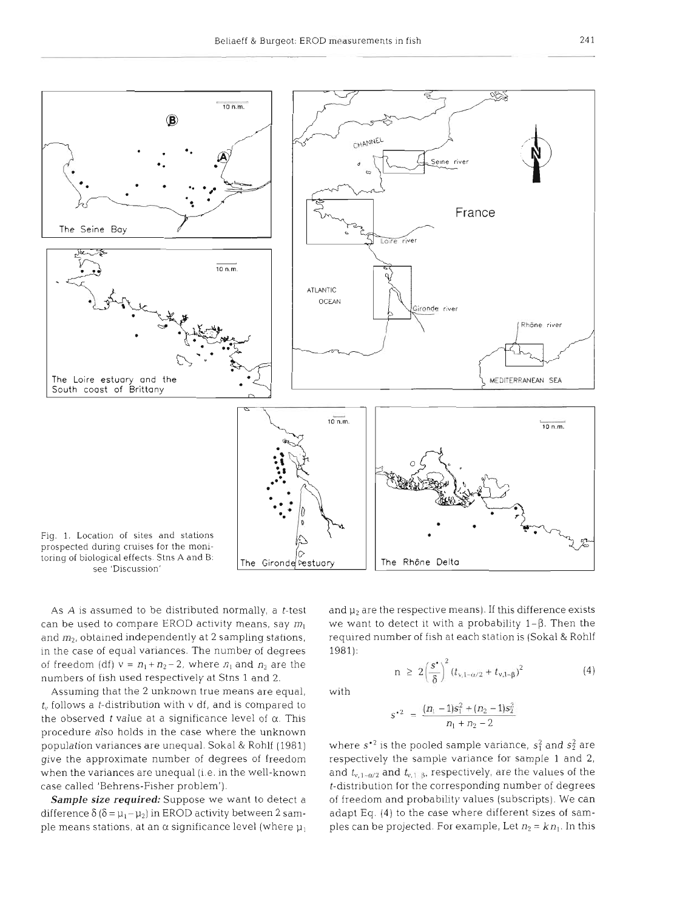

see 'Discussion'

As  $A$  is assumed to be distributed normally, a  $t$ -test can be used to compare EROD activity means, say  $m_1$ and *m2,* obtained independently at 2 sampling stations, in the case of equal variances. The number of degrees of freedom (df)  $v = n_1 + n_2 - 2$ , where  $n_1$  and  $n_2$  are the numbers of fish used respectively at Stns 1 and 2.

Assuming that the 2 unknown true means are equal,  $t<sub>v</sub>$  follows a *t*-distribution with  $v$  df, and is compared to the observed  $t$  value at a significance level of  $\alpha$ . This procedure also holds in the case where the unknown population variances are unequal. Sokal & Rohlf (1981) give the approximate number of degrees of freedom when the variances are unequal (i.e. in the well-known case called 'Behrens-Fisher problem').

Sample size required: Suppose we want to detect a difference  $\delta$  ( $\delta = \mu_1 - \mu_2$ ) in EROD activity between 2 sample means stations, at an  $\alpha$  significance level (where  $\mu_1$ ) and **p2** are the respective means). If this difference exists we want to detect it with a probability  $1-\beta$ . Then the required number of fish at each station is (Sokal & Rohlf 1981):

with

$$
r^2 = \frac{(n_1-1)s_1^2 + (n_2-1)s_2^2}{n_1+n_2-2}
$$

 $n \geq 2\left(\frac{s^{\bullet}}{8}\right)^2 (t_{v,1-\alpha/2} + t_{v,1-\beta})^2$ 

where  $s^2$  is the pooled sample variance,  $s_1^2$  and  $s_2^2$  are respectively the sample variance for sample 1 and 2, and  $t_{v,1-\alpha/2}$  and  $t_{v,1-\beta}$ , respectively, are the values of the t-distribution for the corresponding number of degrees of freedom and probability values (subscripts). We can adapt Eq. (4) to the case where different sizes of samples can be projected. For example, Let  $n_2 = k n_1$ . In this

 $(4)$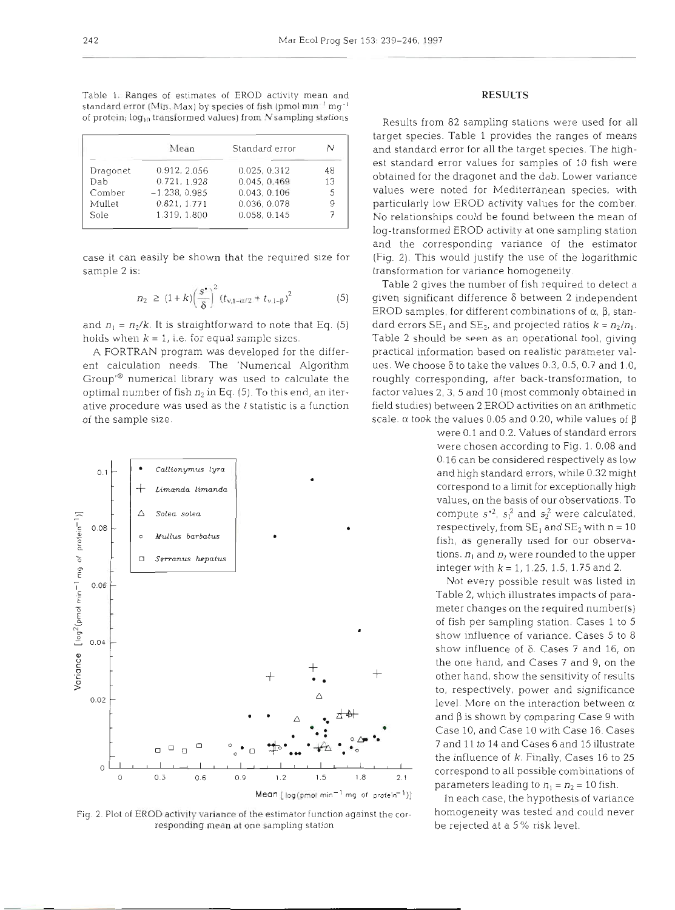Table 1. Ranges of estimates of EROD activity mean and standard error (Min, Max) by species of fish (pmol  $mm^{-1}$  mg<sup>-1</sup> of protein;  $log_{10}$  transformed values) from N sampling stations

|          | Mean            | Standard error | N  |
|----------|-----------------|----------------|----|
| Dragonet | 0.912, 2.056    | 0.025, 0.312   | 48 |
| Dab      | 0.721, 1.928    | 0.045, 0.469   | 13 |
| Comber   | $-1.238, 0.985$ | 0.043, 0.106   |    |
| Mullet   | 0.821.1.771     | 0.036, 0.078   |    |
| Sole     | 1.319, 1.800    | 0.058, 0.145   |    |

case it can easily be shown that the required size for sample 2 is:

$$
n_2 \ge (1+k)\left(\frac{s^*}{\delta}\right)^2 (t_{\nu,1-\alpha/2} + t_{\nu,1-\beta})^2 \tag{5}
$$

and  $n_1 = n_2/k$ . It is straightforward to note that Eq. (5) holds when  $k = 1$ , i.e. for equal sample sizes.

A FORTRAN program was developed for the different calculation needs. The 'Numerical Algorithm Group'@' numerical library was used to calculate the optimal number of fish  $n_2$  in Eq. (5). To this end, an iterative procedure was used as the *t* statistic is a function of the sample size.



Fig. 2. Plot of EROD activity variance of the estimator function against the cor-<br>
homogeneity was tested and could never responding mean at one sampling station be rejected at a 5 % risk level.

## **RESULTS**

Results from 82 sampling stations were used for all target species. Table 1 provides the ranges of means and standard error for all the target species. The highest standard error values for samples of 10 fish were obtained for the dragonet and the dab. Lower variance values were noted for Mediterranean species, with particularly low EROD activity values for the comber. No relationships could be found between the mean of log-transformed EROD activity at one sampling station and the corresponding variance of the estimator (Fig. 2). This would justify the use of the logarithmic transformation for variance homogeneity.

Table 2 gives the number of fish required to detect a <sup>g</sup>iven significant difference *6* between 2 independent EROD samples, for different combinations of  $\alpha$ ,  $\beta$ , standard errors  $SE_1$  and  $SE_2$ , and projected ratios  $k = n_2/n_1$ . Tab!e *2* should hp **seen** as an operational tool, givinq practical information based on realistic parameter values. We choose  $\delta$  to take the values 0.3, 0.5, 0.7 and 1.0, roughly corresponding, after back-transformation, to factor values 2,3, 5 and 10 (most commonly obtained in field studies) between 2 EROD activities on an arithmetic scale.  $\alpha$  took the values 0.05 and 0.20, while values of  $\beta$ 

> were 0.1 and 0.2. Values of standard errors were chosen according to Fig. 1. 0.08 and 0.16 can be considered respectively as low values, on the basis of our observations. To respectively, from  $SE_1$  and  $SE_2$  with  $n = 10$

Not every possible result was listed in Table 2, which illustrates lmpacts of parameter changes on the required number(s) of fish per sampling station. Cases 1 to 5 show influence of variance. Cases 5 to 8 show influence of  $\delta$ . Cases 7 and 16, on the one hand, and Cases 7 and 9, on the other hand, show the sensitivity of results to, respectively, power and significance level. More on the interaction between α<br>d β is shown by comparing Case 9 with and  $\beta$  is shown by comparing Case 9 with Case 10, and Case 10 with Case 16. Cases the influence of  $k$ . Finally, Cases 16 to 25 parameters leading to  $n_1 = n_2 = 10$  fish.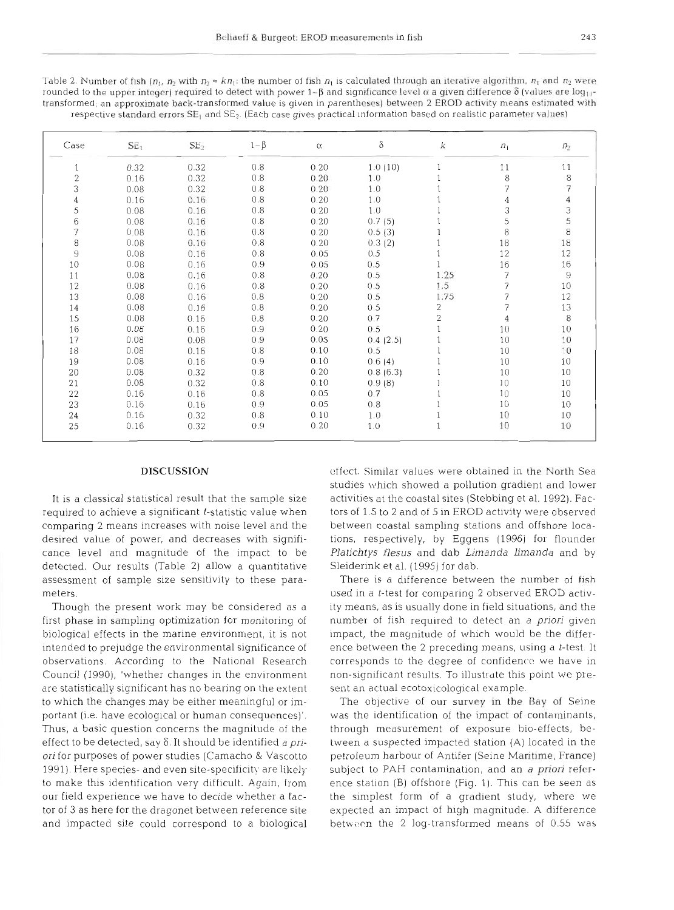| Table 2. Number of fish $(n_1, n_2)$ with $n_2 \approx kn_1$ ; the number of fish $n_1$ is calculated through an iterative algorithm, $n_1$ and $n_2$ were        |
|-------------------------------------------------------------------------------------------------------------------------------------------------------------------|
| rounded to the upper integer) required to detect with power $1-\beta$ and significance level $\alpha$ a given difference $\delta$ (values are log <sub>10</sub> - |
| transformed; an approximate back-transformed value is given in parentheses) between 2 EROD activity means estimated with                                          |
| respective standard errors $SE_1$ and $SE_2$ . (Each case gives practical information based on realistic parameter values)                                        |

| Case             | SE <sub>1</sub> | SE <sub>2</sub> | $1-\beta$ | α.   | δ        | k              | $n_1$ | $\boldsymbol{n}_2$ |
|------------------|-----------------|-----------------|-----------|------|----------|----------------|-------|--------------------|
| $\mathbf{1}$     | 0.32            | 0.32            | 0.8       | 0.20 | 1.0(10)  |                | 11    | 11                 |
| $\overline{c}$   | 0.16            | 0.32            | 0.8       | 0.20 | 1.0      |                | 8     | 8                  |
| 3                | 0.08            | 0.32            | 0.8       | 0.20 | 1.0      |                | 7     | 7                  |
| $\boldsymbol{4}$ | 0.16            | 0.16            | 0.8       | 0.20 | 1.0      |                | 4     |                    |
| 5                | 0.08            | 0.16            | 0.8       | 0.20 | 1.0      |                | 3     | 3                  |
| $\sqrt{6}$       | 0.08            | 0.16            | 0.8       | 0.20 | 0.7(5)   |                | 5     | 5                  |
| 7                | 0.08            | 0.16            | 0.8       | 0.20 | 0.5(3)   |                | 8     | 8                  |
| 8                | 0.08            | 0.16            | $0.8$     | 0.20 | 0.3(2)   |                | 18    | 18                 |
| $\mathcal{G}$    | 0.08            | 0.16            | 0.8       | 0.05 | 0.5      |                | 12    | 12                 |
| 10               | 0.08            | 0.16            | 0.9       | 0.05 | 0.5      |                | 16    | 16                 |
| 11               | 0.08            | 0.16            | 0.8       | 0.20 | 0.5      | 1.25           | 7     | $\overline{9}$     |
| 12               | 0.08            | 0.16            | 0.8       | 0.20 | 0.5      | 1.5            | 7     | 10                 |
| 13               | 0.08            | 0.16            | 0, 8      | 0.20 | 0.5      | 1.75           | 7     | 12                 |
| 14               | 0.08            | 0.16            | 0.8       | 0.20 | 0.5      | 2              | 7     | 13                 |
| 15               | 0.08            | 0.16            | 0.8       | 0.20 | 0.7      | $\overline{2}$ | 4     | 8                  |
| 16               | 0.08            | 0.16            | 0.9       | 0.20 | 0.5      |                | 10    | 10                 |
| 17               | 0.08            | 0.08            | 0.9       | 0.05 | 0.4(2.5) |                | 10    | ΙŪ                 |
| 18               | 0.08            | 0.16            | 0.8       | 0.10 | 0.5      |                | 10    | 10                 |
| 19               | 0.08            | 0.16            | 0.9       | 0.10 | 0.6(4)   |                | 10    | 10                 |
| 20               | 0.08            | 0.32            | 0.8       | 0.20 | 0.8(6.3) |                | 10    | 10                 |
| 21               | 0.08            | 0.32            | 0.8       | 0.10 | 0.9(8)   |                | 10    | 10                 |
| 22               | 0.16            | 0.16            | 0.8       | 0.05 | 0.7      |                | 10    | 10                 |
| 23               | 0.16            | 0.16            | 0.9       | 0.05 | 0.8      |                | 10    | 10                 |
| 24               | 0.16            | 0.32            | 0.8       | 0.10 | 1.0      |                | 10    | 10                 |
| 25               | 0.16            | 0.32            | 0.9       | 0.20 | 1.0      |                | 10    | 10                 |

### DISCUSSION

It is a classical statistical result that the sample size required to achieve a significant t-statistic value when comparing 2 means increases with noise level and the desired value of power, and decreases with significance level and magnitude of the impact to be detected. Our results (Table 2) allow a quantitative assessment of sample size sensitivity to these parameters.

Though the present work may be considered as a first phase in sampling optimization for monitoring of biological effects in the marine environment, it is not intended to prejudge the environmental significance of observations. According to the National Research Council (1990), 'whether changes in the environment are statistically significant has no bearing on the extent to which the changes may be either meaningful or important (i.e. have ecological or human consequences)'. Thus, a basic question concerns the magnitude of the effect to be detected, say  $\delta$ . It should be identified *a pri*ori for purposes of power studies (Camacho & Vascotto 1991). Here species- and even site-specificity are likely to make this identification very difficult. Again, from our field experience we have to decide whether a factor of 3 as here for the dragonet between reference site and impacted site could correspond to a biological

effect. Similar values were obtained in the North Sea studies which showed a pollution gradient and lower activities at the coastal sites (Stebbing et al. 1992). Factors of 1.5 to 2 and of 5 in EROD activity were observed between coastal sampling stations and offshore locations, respectively, by Eggens (1996) for flounder *Platichtys flesus* and dab *Ljmanda limanda* and by Sleiderink et al. (1995) for dab.

There is a difference between the number of fish used in a t-test for comparing 2 observed EROD activity means, as is usually done in field situations, and the number of fish required to detect an *a priori* glven impact, the magnitude of which would be the difference between the 2 preceding means, using a t-test. It corresponds to the degree of confidence we have in non-significant results. To illustrate this point we present an actual ecotoxicological example.

The objective of our survey in the Bay of Seine was the identification of the impact of contaminants, through measurement of exposure bio-effects, between a suspected impacted station (A) located in the petroleum harbour of Antifer (Seine Maritime, France) subject to PAH contamination, and an *a priori* reference station (B) offshore (Fig. 1). This can be seen as the simplest form of a gradient study, where we expected an impact of high magnitude. **A** difference between the 2 log-transformed means of  $0.55$  was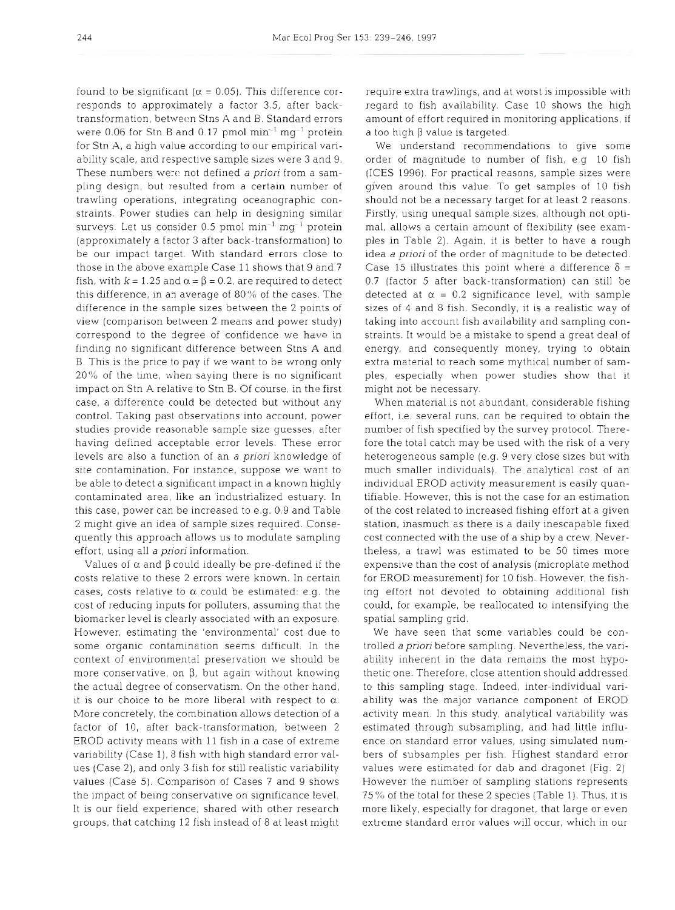found to be significant ( $\alpha$  = 0.05). This difference corresponds to approximately a factor 3.5, after backtransformation, between Stns A and B. Standard errors were  $0.06$  for Stn B and 0.17 pmol  $\text{min}^{-1} \text{ mg}^{-1}$  protein for Stn A, a high value according to our empirical vanability scale, and respective sample sizes were 3 and 9. These numbers were not defined a priori from a sampling design, but resulted from a certain number of trawling operations, integrating oceanographic constraints. Power studies can help in designing similar surveys. Let us consider  $0.5$  pmol min<sup>-1</sup> mg<sup>-1</sup> protein (approximately a factor 3 after back-transformation) to be our impact target. With standard errors close to those in the above example Case 11 shows that 9 and 7 fish, with  $k = 1.25$  and  $\alpha = \beta = 0.2$ , are required to detect this difference, in an average of 80% of the cases. The difference in the sample sizes between the 2 points of view (comparison between 2 means and power study) correspond to the degree of confidence we have in finding no significant difference between Stns A and B. This is the price to pay if we want to be wrong only  $20\%$  of the time, when saying there is no significant impact on Stn A relative to Stn B. Of course, in the first case, a difference could be detected but without any control. Taking past observations into account, power studies provide reasonable sample size guesses, after having defined acceptable error levels. These error levels are also a function of an a priori knowledge of site contamination. For instance, suppose we want to be able to detect a significant impact in a known highly contaminated area, like an industrialized estuary. In this case, power can be increased to e.g. 0.9 and Table 2 might give an idea of sample sizes required. Consequently this approach allows us to modulate sampling effort, using all a priori information.

Values of  $\alpha$  and  $\beta$  could ideally be pre-defined if the costs relative to these 2 errors were known. In certain cases, costs relative to  $\alpha$  could be estimated: e.g. the cost of reducing inputs for polluters, assuming that the biomarker level is clearly associated with an exposure. However, estimating the 'environmental' cost due to some organic contamination seems difficult. In the context of environmental preservation we should be more conservative, on  $\beta$ , but again without knowing the actual degree of conservatism. On the other hand, it is our choice to be more liberal with respect to  $\alpha$ . More concretely, the combination allows detection of a factor of 10, after back-transformation, between 2 EROD activity means with 11 fish in a case of extreme variability (Case 1), 8 fish with high standard error values (Case 2), and only 3 fish for still realistic variability values (Case 5). Comparison of Cases 7 and 9 shows the impact of being conservative on significance level. It is our field experience, shared with other research groups, that catching 12 fish instead of 8 at least might

requlre extra trawlings, and at worst is impossible with regard to fish availability. Case 10 shows the high amount of effort required in monitoring applications, if a too high  $\beta$  value is targeted.

We understand recommendations to give some order of magnitude to number of fish e g 10 fish (ICES 1996). For practical reasons, sample sizes were given around this value To get samples of 10 fish should not be a necessary target for at least 2 reasons. Firstly, using unequal sample sizes, although not optimal, allows a certain amount of flexibility (see examples in Table 2). Again, it is better to have a rough idea a priori of the order of magnitude to be detected. Case 15 illustrates this point where a difference  $\delta$  = 0.7 (factor 5 after back-transformation) can still be detected at  $\alpha = 0.2$  significance level, with sample sizes of 4 and 8 fish. Secondly, it is a realistic way of taking into account fish availability and sampling constraints. It would be a mistake to spend a great deal of energy, and consequently money, trying to obtain extra material to reach some mythical number of samples, especially when power studies show that it might not be necessary

When material is not abundant, considerable fishing effort, i.e. several runs, can be required to obtain the number of fish specified by the survey protocol. Therefore the total catch may be used with the risk of a very heterogeneous sample (e.g. 9 very close sizes but with much smaller individuals). The analytical cost of an individual EROD activity measurement is easily quantifiable. However, this is not the case for an estimation of the cost related to increased fishing effort at a glven station, inasmuch as there is a daily inescapable fixed cost connected with the use of a ship by a crew. Nevertheless, a trawl was estimated to be 50 times more expensive than the cost of analysis (microplate method for EROD measurement) for 10 fish. However, the fishing effort not devoted to obtaining additional fish could, for example, be reallocated to intensifying the spatial sampling grid.

We have seen that some variables could be controlled a priori before sampling. Nevertheless, the variability inherent in the data remains the most hypothetic one Therefore, close attention should addressed to this sampling stage. Indeed, inter-individual variability was the major variance component of EROD activity mean. In this study, analytical variability was estimated through subsampling, and had little influence on standard error values, using simulated numbers of subsamples per fish. Highest standard error values were estimated for dab and dragonet (Fig. 2) However the number of sampling stations represents 75% of the total for these 2 species (Table 1). Thus, it is more likely, especially for dragonet, that large or even extreme standard error values will occur, which in our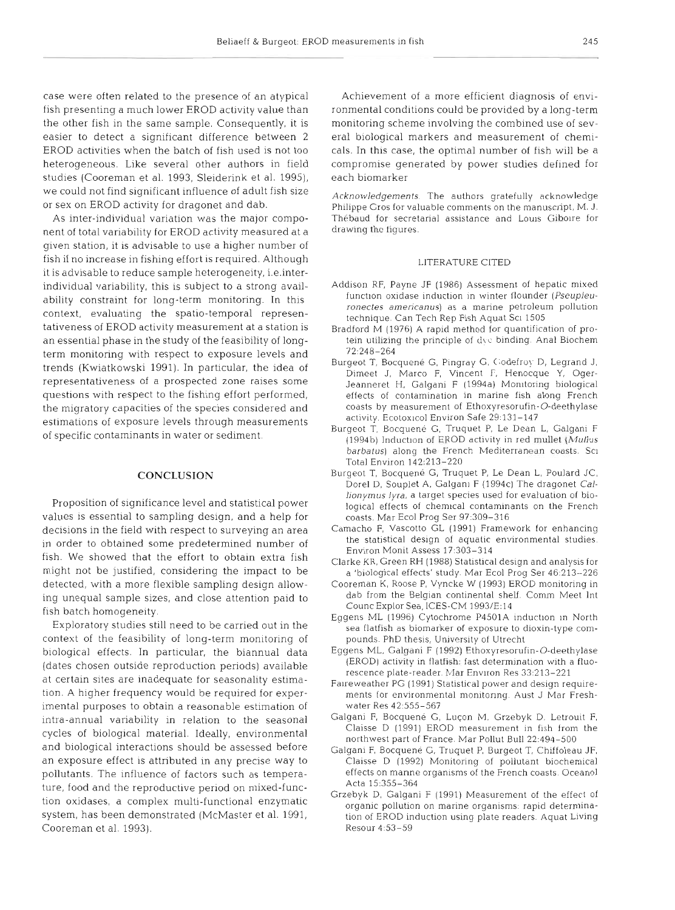case were often related to the presence of an atypical fish presenting a much lower EROD activity value than the other fish in the same sample. Consequently, it is easier to detect a significant difference between 2 EROD activities when the batch of fish used is not too heterogeneous. Like several other authors in field studies (Cooreman et al. 1993, Sleiderink et al. 1995), we could not find significant influence of adult fish size or sex on EROD activity for dragonet and dab.

As inter-individual variation was the major component of total variability for EROD activity measured at a given station, it is advisable to use a higher number of fish if no increase in fishing effort is required. Although it is advisable to reduce sample heterogeneity, i.e.interindividual variability, this is subject to a strong availability constraint for long-term monitoring. In this context, evaluating the spatio-temporal representativeness of EROD activity measurement at a station is an essential phase in the study of the feasibility of longterm monitoring with respect to exposure levels and trends (Kwiatkowski 1991). In particular, the idea of representativeness of a prospected zone raises some questions with respect to the fishing effort performed, the migratory capacities of the species considered and estimations of exposure levels through measurements of specific contaminants in water or sediment.

#### **CONCLUSION**

Proposition of significance level and statistical power values is essential to sampling design, and a help for decisions in the field with respect to surveying an area in order to obtained some predetermined number of fish. We showed that the effort to obtain extra fish might not be justified, considering the impact to be detected, with a more flexible sampling design allowing unequal sample sizes, and close attention paid to fish batch homogeneity.

Exploratory studies still need to be carried out in the context of the feasibility of long-term monitoring of biological effects. In particular, the biannual data (dates chosen outside reproduction periods) available at certain sites are inadequate for seasonality estimation. A higher frequency would be required for experimental purposes to obtain a reasonable estimation of intra-annual variability in relation to the seasonal cycles of biological material. Ideally, environmental and biological interactions should be assessed before an exposure effect is attributed in any precise way to pollutants. The influence of factors such as temperature, food and the reproductive period on mixed-function oxidases, a complex multi-functional enzymatic system, has been demonstrated (McMaster et al. 1991, Cooreman et al. 1993).

Achievement of a more efficient diagnosis of environmental conditions could be provided by a long-term monitoring scheme involving the combined use of several biological markers and measurement of chemicals. In this case, the optimal number of fish will be a compromise generated by power studies defined for each biomarke:

Acknowledgements. The authors gratefully acknowledge Philippe Cros for valuable comments on the manuscript, M. J. Thébaud for secretarial assistance and Louis Giboire for drawing the figures.

#### LITERATURE CITED

- Addison RF, Payne JF (1986) Assessment of hepatic mixed function oxidase induction in winter flounder (Pseupleuronectes americanus) as a marine petroleum pollution technique. Can Tech Rep Fish Aquat Sci 1505
- Bradford M (1976) A rapid method for quantification of protein utilizing the principle of d\c binding. Anal Biochem 721248-264
- Burgeot T, Bocquené G, Pingray G, Codefroy D, Legrand J, Dimeet J, Marco F, Vincent F, Henocque Y, Oger-Jeanneret H, Galgani F (1994a) Monitoring biological effects of contamination in marine fish along French coasts by measurement of Ethoxyresorufin-0-deethylase activity. Ecotoxicol Environ Safe 29:131-147
- Burgeot T, Bocquene G, Truquet P. Le Dean L, Galgani F (1994b) Induction of EROD activity in red mullet (Mullus barbatus) along the French Mediterranean coasts. Sci Total Environ 142:213-220
- Burgeot T, Bocquené G, Truquet P, Le Dean L, Poulard JC, Dorel D, Souplet A, Galgani F (1994c) The dragonet Callionymus lyra, a target species used for evaluation of biological effects of chemlcal contaminants on the French coasts. Mar Ecol Prog Ser 97:309-316
- Camacho F, Vascotto GL (1991) Framework for enhancing the statistical design of aquatic environmental studies. Environ Monit Assess 17:303-314
- Clarke KR, Green RH (1988) Statistical design and analysis for a 'biological effects' study. Mar Ecol Prog Ser 46:213-226
- Cooreman K, Roose P, Vyncke W (1993) EROD monitoring in dab from the Belgian continental shelf Comm Meet Int Counc Explor Sea, ICES-CM 1993/E:14
- Eggens ML (1996) Cytochrome P4501A induction in North sea flatfish as biomarker of exposure to dioxin-type compounds. PhD thesis, University of Utrecht
- Eggens ML, Galgdni F (1992) Ethoxyresorufin-0-deethylase (EROD) activity in flatfish: fast determination with a fluorescence plate-reader. Mar Environ Res 33:213-221
- Falreweather PG (1991) Statistical power and design requirements for environmental monitoring. Aust J Mar Freshwater Res 42:555-567
- Galgani F, Bocquené G, Luçon M. Grzebyk D. Letrouit F, Claisse  $D$  (1991) EROD measurement in fish from the northwest part of France. Mar Pollut Bull 22:494-500
- Galgani F, Bocquené G, Truquet P, Burgeot T, Chiffoleau JF, Clalsse D (1992) Monitoring of pollutant biochemical effects on manne organisms of the French coasts. Oceanol Acta 15:355-364
- Grzebyk D, Galgani F (1991) Measurement of the effect of organic pollution on marine organisms: rapid determination of EROD induction using plate readers. Aquat Living Resour 4:53–59